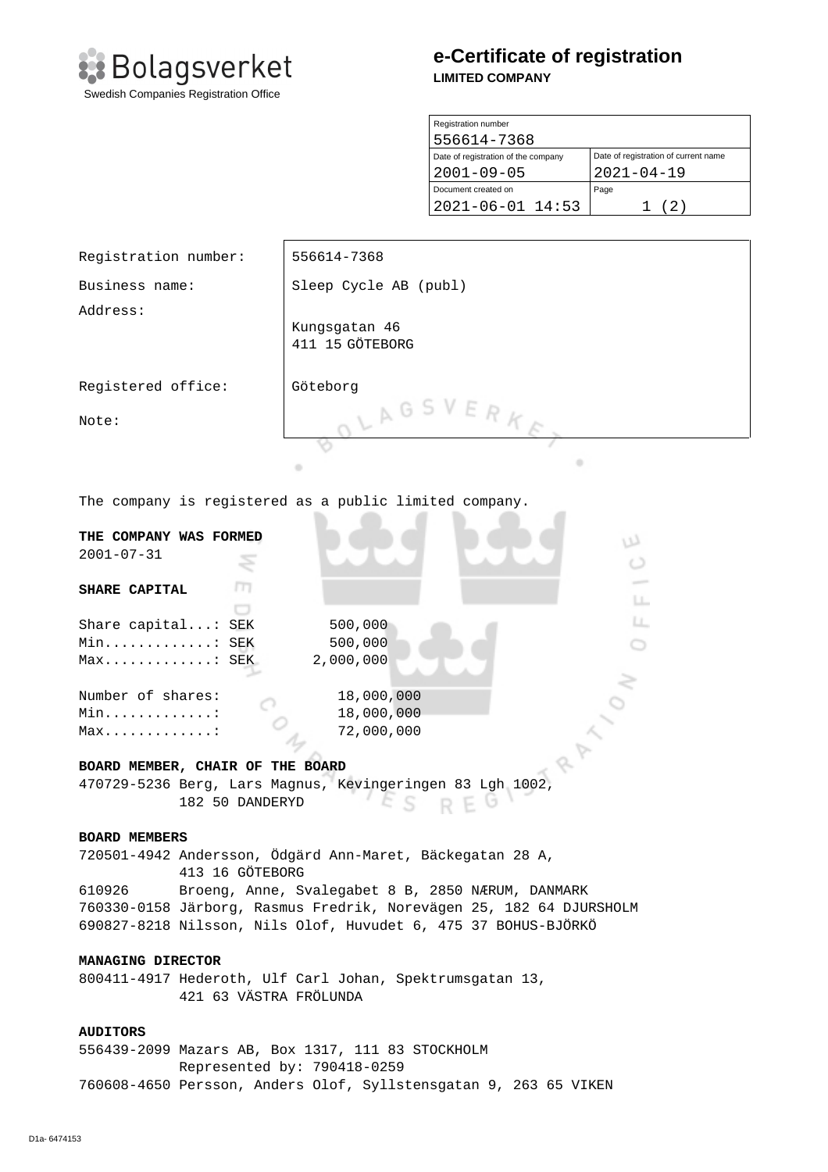

# **e-Certificate of registration LIMITED COMPANY**

| Registration number                 |                                      |
|-------------------------------------|--------------------------------------|
| 556614-7368                         |                                      |
| Date of registration of the company | Date of registration of current name |
| $2001 - 09 - 05$                    | $2021 - 04 - 19$                     |
| Document created on                 | Page                                 |
| $2021 - 06 - 01$ 14:53              | (2)                                  |

| Registration number:                                                         | 556614-7368                                              |  |
|------------------------------------------------------------------------------|----------------------------------------------------------|--|
| Business name:                                                               | Sleep Cycle AB (publ)                                    |  |
| Address:                                                                     | Kungsgatan 46<br>411 15 GÖTEBORG                         |  |
| Registered office:                                                           | Göteborg                                                 |  |
| Note:                                                                        | LAGSVERKE<br>٠<br>۰                                      |  |
| The company is registered as a public limited company.                       |                                                          |  |
| THE COMPANY WAS FORMED<br>$2001 - 07 - 31$                                   | w                                                        |  |
| т<br>SHARE CAPITAL                                                           | LL.                                                      |  |
| Share capital: SEK                                                           | Ц.<br>500,000                                            |  |
|                                                                              |                                                          |  |
| Min: SEK                                                                     | 500,000                                                  |  |
| Max: SEK                                                                     | 2,000,000                                                |  |
| 18,000,000<br>Number of shares:                                              |                                                          |  |
| 18,000,000<br>Min. :                                                         |                                                          |  |
|                                                                              | 72,000,000                                               |  |
| $Max.$                                                                       |                                                          |  |
| BOARD MEMBER, CHAIR OF THE BOARD                                             |                                                          |  |
| 470729-5236 Berg, Lars Magnus, Kevingeringen 83 Lgh 1002,<br>182 50 DANDERYD |                                                          |  |
| <b>BOARD MEMBERS</b>                                                         |                                                          |  |
| 720501-4942 Andersson, Ödgärd Ann-Maret, Bäckegatan 28 A,<br>413 16 GÖTEBORG |                                                          |  |
| Broeng, Anne, Svalegabet 8 B, 2850 NÆRUM, DANMARK<br>610926                  |                                                          |  |
| 760330-0158 Järborg, Rasmus Fredrik, Norevägen 25, 182 64 DJURSHOLM          |                                                          |  |
| 690827-8218 Nilsson, Nils Olof, Huvudet 6, 475 37 BOHUS-BJÖRKÖ               |                                                          |  |
| MANAGING DIRECTOR                                                            |                                                          |  |
| 421 63 VÄSTRA FRÖLUNDA                                                       | 800411-4917 Hederoth, Ulf Carl Johan, Spektrumsgatan 13, |  |
| <b>AUDITORS</b>                                                              |                                                          |  |

556439-2099 Mazars AB, Box 1317, 111 83 STOCKHOLM Represented by: 790418-0259 760608-4650 Persson, Anders Olof, Syllstensgatan 9, 263 65 VIKEN